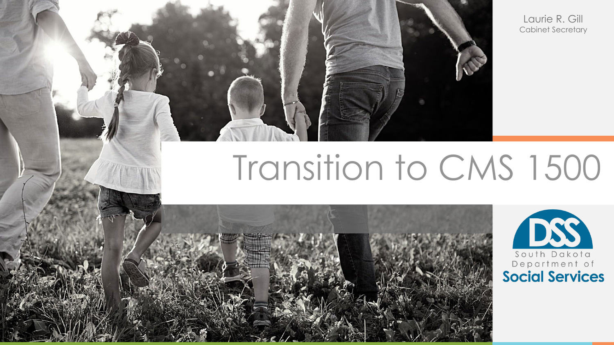Laurie R. Gill Cabinet Secretary

# Transition to CMS 1500



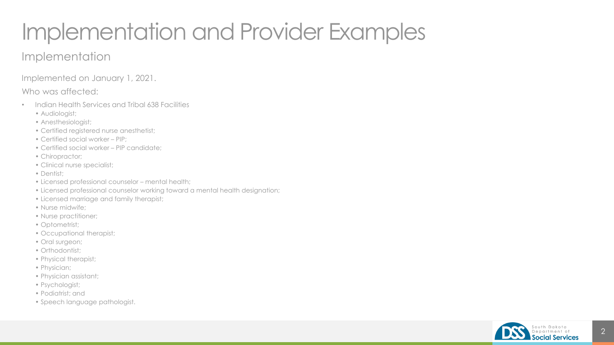## Implementation and Provider Examples

#### Implementation

Implemented on January 1, 2021.

Who was affected:

- Indian Health Services and Tribal 638 Facilities
	- Audiologist;
	- Anesthesiologist;
	- Certified registered nurse anesthetist;
	- Certified social worker PIP;
	- Certified social worker PIP candidate;
	- Chiropractor;
	- Clinical nurse specialist;
	- Dentist;
	- Licensed professional counselor mental health;
	- Licensed professional counselor working toward a mental health designation;
	- Licensed marriage and family therapist;
	- Nurse midwife;
	- Nurse practitioner;
	- Optometrist;
	- Occupational therapist;
	- Oral surgeon;
	- Orthodontist;
	- Physical therapist;
	- Physician;
	- Physician assistant;
	- Psychologist;
	- Podiatrist; and
	- Speech language pathologist.

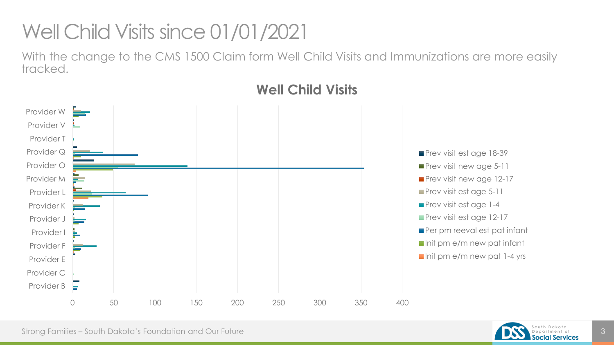### Well Child Visits since 01/01/2021

With the change to the CMS 1500 Claim form Well Child Visits and Immunizations are more easily tracked.



### **Well Child Visits**

Prev visit est age 18-39 **Prev visit new age 5-11 Prev visit new age 12-17 Prev visit est age 5-11 Prev visit est age 1-4 Prev visit est age 12-17** Per pm reeval est pat infant Init pm e/m new pat infant  $\blacksquare$  Init pm e/m new pat 1-4 yrs

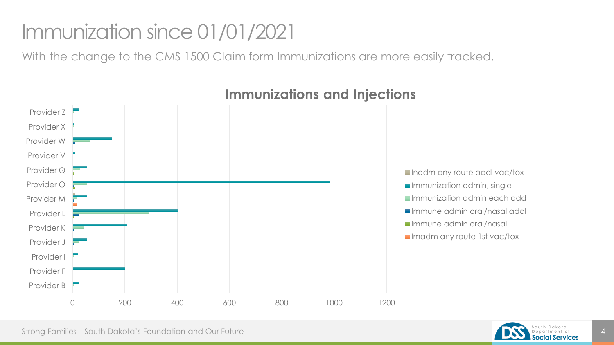### Immunization since 01/01/2021

With the change to the CMS 1500 Claim form Immunizations are more easily tracked.



#### **Immunizations and Injections**

Strong Families – South Dakota's Foundation and Our Future 4 and the strong strong families – South Dakota's Foundation and Our Future 4 and the strong services and  $\frac{1}{4}$ 

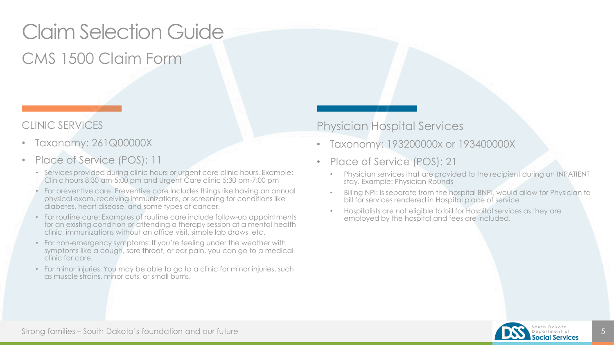### Claim Selection Guide CMS 1500 Claim Form

#### CLINIC SERVICES

- Taxonomy: 261Q00000X
- Place of Service (POS): 11
	- Services provided during clinic hours or urgent care clinic hours. Example: Clinic hours 8:30 am-5:00 pm and Urgent Care clinic 5:30 pm-7:00 pm
	- For preventive care: Preventive care includes things like having an annual physical exam, receiving immunizations, or screening for conditions like diabetes, heart disease, and some types of cancer.
	- For routine care: Examples of routine care include follow-up appointments for an existing condition or attending a therapy session at a mental health clinic, immunizations without an office visit, simple lab draws, etc.
	- For non-emergency symptoms: If you're feeling under the weather with symptoms like a cough, sore throat, or ear pain, you can go to a medical clinic for care.
	- For minor injuries: You may be able to go to a clinic for minor injuries, such as muscle strains, minor cuts, or small burns.

#### Physician Hospital Services

- Taxonomy: 193200000x or 193400000X
- Place of Service (POS): 21
	- Physician services that are provided to the recipient during an INPATIENT stay. Example: Physician Rounds
	- Billing NPI: Is separate from the hospital BNPI, would allow for Physician to bill for services rendered in Hospital place of service
	- Hospitalists are not eligible to bill for Hospital services as they are employed by the hospital and fees are included.

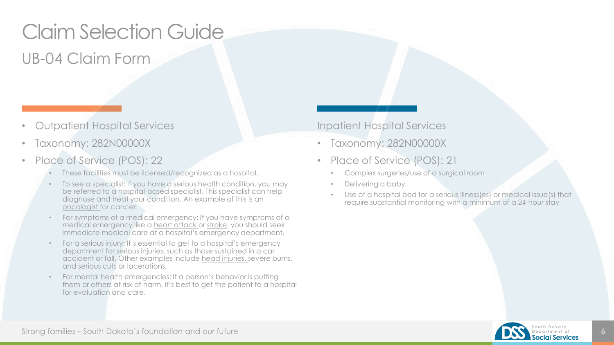### Claim Selection Guide UB-04 Claim Form

- Outpatient Hospital Services
- Taxonomy: 282N00000X
- Place of Service (POS): 22
	- These facilities must be licensed/recognized as a hospital.
	- To see a specialist: If you have a serious health condition, you may be referred to a hospital-based specialist. This specialist can help diagnose and treat your condition. An example of this is an [oncologist](https://www.healthline.com/health/cancer/what-is-an-oncologist) for cancer.
	- For symptoms of a medical emergency: If you have symptoms of a medical emergency like a [heart attack](https://www.healthline.com/health/what-does-a-heart-attack-feel-like) or [stroke,](https://www.healthline.com/health/stroke/stroke-warning-signs) you should seek immediate medical care at a hospital's emergency department.
	- For a serious injury: It's essential to get to a hospital's emergency department for serious injuries, such as those sustained in a car accident or fall. Other examples include [head injuries, s](https://www.healthline.com/health/head-injury)evere burns, and serious cuts or lacerations.
	- For mental health emergencies: If a person's behavior is putting them or others at risk of harm, it's best to get the patient to a hospital for evaluation and care.

#### Inpatient Hospital Services

- Taxonomy: 282N00000X
- Place of Service (POS): 21
	- Complex surgeries/use of a surgical room
	- Delivering a baby
	- Use of a hospital bed for a serious illness(es) or medical issue(s) that require substantial monitoring with a minimum of a 24-hour stay



Strong families – South Dakota's foundation and our future 6 to the strong strong families – South Dakota's foundation and our future 6 to the strong services of the strong services of the strong services of the strong ser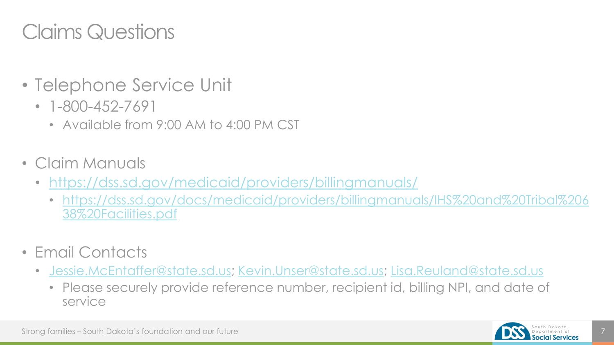### Claims Questions

- Telephone Service Unit
	- 1-800-452-7691
		- Available from 9:00 AM to 4:00 PM CST
- Claim Manuals
	- <https://dss.sd.gov/medicaid/providers/billingmanuals/>
		- [https://dss.sd.gov/docs/medicaid/providers/billingmanuals/IHS%20and%20Tribal%206](https://dss.sd.gov/docs/medicaid/providers/billingmanuals/IHS%20and%20Tribal%20638%20Facilities.pdf) 38%20Facilities.pdf
- Email Contacts
	- [Jessie.McEntaffer@state.sd.us;](mailto:Jessie.McEntaffer@state.sd.us) [Kevin.Unser@state.sd.us](mailto:Kevin.Unser@state.sd.us); [Lisa.Reuland@state.sd.us](mailto:Lisa.Reuland@state.sd.us)
		- Please securely provide reference number, recipient id, billing NPI, and date of service